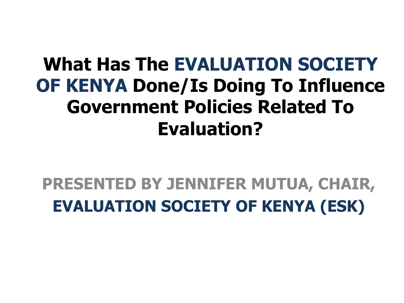### **What Has The EVALUATION SOCIETY OF KENYA Done/Is Doing To Influence Government Policies Related To Evaluation?**

### **PRESENTED BY JENNIFER MUTUA, CHAIR, EVALUATION SOCIETY OF KENYA (ESK)**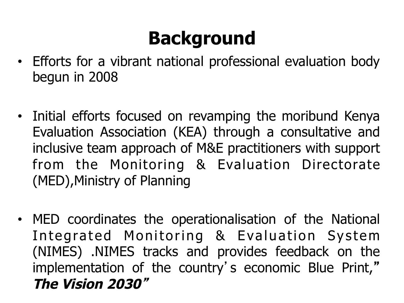# **Background**

- Efforts for a vibrant national professional evaluation body begun in 2008
- Initial efforts focused on revamping the moribund Kenya Evaluation Association (KEA) through a consultative and inclusive team approach of M&E practitioners with support from the Monitoring & Evaluation Directorate (MED),Ministry of Planning
- MED coordinates the operationalisation of the National Integrated Monitoring & Evaluation System (NIMES) .NIMES tracks and provides feedback on the implementation of the country's economic Blue Print," **The Vision 2030**"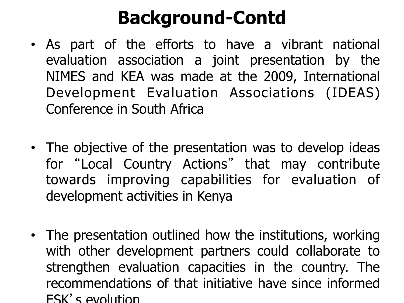## **Background-Contd**

- As part of the efforts to have a vibrant national evaluation association a joint presentation by the NIMES and KEA was made at the 2009, International Development Evaluation Associations (IDEAS) Conference in South Africa
- The objective of the presentation was to develop ideas for "Local Country Actions" that may contribute towards improving capabilities for evaluation of development activities in Kenya
- The presentation outlined how the institutions, working with other development partners could collaborate to strengthen evaluation capacities in the country. The recommendations of that initiative have since informed ESK's evolution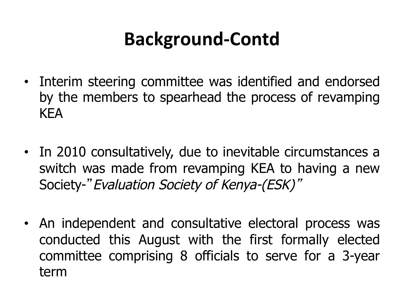## **Background+Contd.**

- Interim steering committee was identified and endorsed by the members to spearhead the process of revamping KEA
- In 2010 consultatively, due to inevitable circumstances a switch was made from revamping KEA to having a new Society-"Evaluation Society of Kenya-(ESK)"
- An independent and consultative electoral process was conducted this August with the first formally elected committee comprising 8 officials to serve for a 3-year term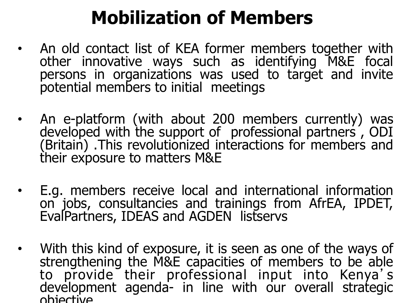## **Mobilization of Members**

- An old contact list of KEA former members together with other innovative ways such as identifying M&E focal persons in organizations was used to target and invite potential members to initial meetings
- An e-platform (with about 200 members currently) was developed with the support of professional partners , ODI (Britain) .This revolutionized interactions for members and their exposure to matters M&E
- E.g. members receive local and international information on jobs, consultancies and trainings from AfrEA, IPDET, EvalPartners, IDEAS and AGDEN listservs
- With this kind of exposure, it is seen as one of the ways of strengthening the M&E capacities of members to be able to provide their professional input into Kenya's development agenda- in line with our overall strategic objective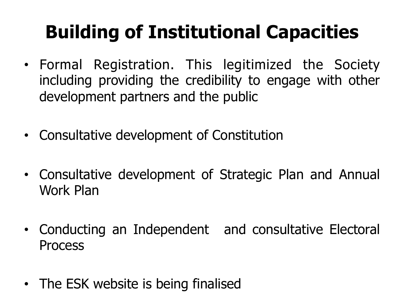# **Building of Institutional Capacities**

- Formal Registration. This legitimized the Society including providing the credibility to engage with other development partners and the public
- Consultative development of Constitution
- Consultative development of Strategic Plan and Annual Work Plan
- Conducting an Independent and consultative Electoral **Process**
- The ESK website is being finalised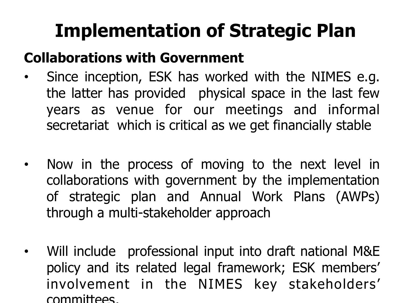# **Implementation of Strategic Plan**

#### **Collaborations with Government**

- Since inception, ESK has worked with the NIMES e.g. the latter has provided physical space in the last few years as venue for our meetings and informal secretariat which is critical as we get financially stable
- Now in the process of moving to the next level in collaborations with government by the implementation of strategic plan and Annual Work Plans (AWPs) through a multi-stakeholder approach
- Will include professional input into draft national M&E policy and its related legal framework; ESK members' involvement in the NIMES key stakeholders' committees,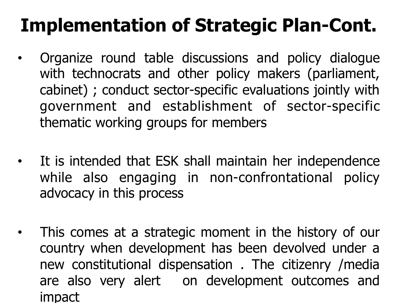# **Implementation of Strategic Plan-Cont.**

- Organize round table discussions and policy dialogue with technocrats and other policy makers (parliament, cabinet) ; conduct sector-specific evaluations jointly with government and establishment of sector-specific thematic working groups for members
- It is intended that ESK shall maintain her independence while also engaging in non-confrontational policy advocacy in this process
- This comes at a strategic moment in the history of our country when development has been devolved under a new constitutional dispensation . The citizenry /media are also very alert on development outcomes and impact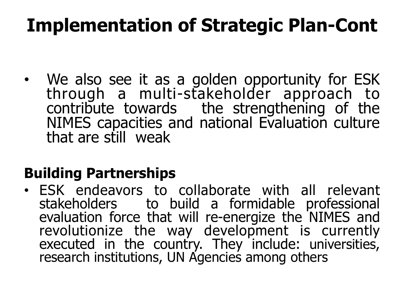## **Implementation of Strategic Plan-Cont**

• We also see it as a golden opportunity for ESK through a multi-stakeholder approach to contribute towards the strengthening of the NIMES capacities and national Evaluation culture that are still weak

#### **Building Partnerships**

• ESK endeavors to collaborate with all relevant stakeholders to build a formidable professional evaluation force that will re-energize the NIMES and revolutionize the way development is currently executed in the country. They include: universities, research institutions, UN Agencies among others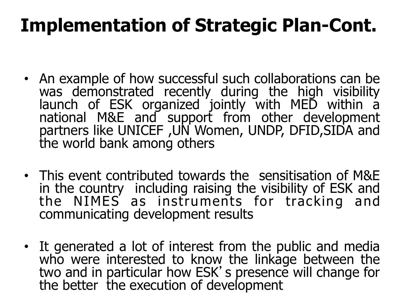## **Implementation of Strategic Plan-Cont.**

- An example of how successful such collaborations can be was demonstrated recently during the high visibility launch of ESK organized jointly with MED within a national M&E and support from other development partners like UNICEF ,UN Women, UNDP, DFID,SIDA and the world bank among others
- This event contributed towards the sensitisation of M&E in the country including raising the visibility of ESK and the NIMES as instruments for tracking and communicating development results
- It generated a lot of interest from the public and media who were interested to know the linkage between the two and in particular how ESK's presence will change for<br>the better the execution of development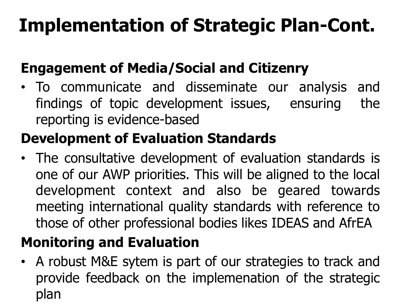# **Implementation of Strategic Plan-Cont.**

#### **Engagement of Media/Social and Citizenry**

• To communicate and disseminate our analysis and findings of topic development issues, ensuring the reporting is evidence-based

#### **Development of Evaluation Standards**

• The consultative development of evaluation standards is one of our AWP priorities. This will be aligned to the local development context and also be geared towards meeting international quality standards with reference to those of other professional bodies likes IDEAS and AfrEA

#### **Monitoring and Evaluation**

• A robust M&E sytem is part of our strategies to track and provide feedback on the implemenation of the strategic plan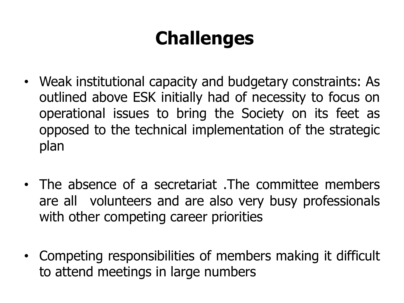# **Challenges**

- Weak institutional capacity and budgetary constraints: As outlined above ESK initially had of necessity to focus on operational issues to bring the Society on its feet as opposed to the technical implementation of the strategic plan
- The absence of a secretariat .The committee members are all volunteers and are also very busy professionals with other competing career priorities
- Competing responsibilities of members making it difficult to attend meetings in large numbers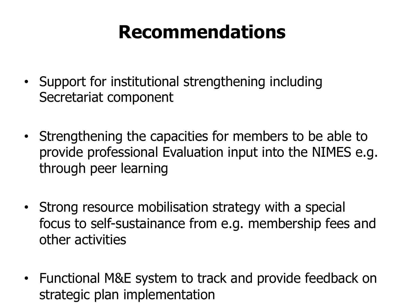### **Recommendations**

- Support for institutional strengthening including Secretariat component
- Strengthening the capacities for members to be able to provide professional Evaluation input into the NIMES e.g. through peer learning
- Strong resource mobilisation strategy with a special focus to self-sustainance from e.g. membership fees and other activities
- Functional M&E system to track and provide feedback on strategic plan implementation